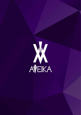